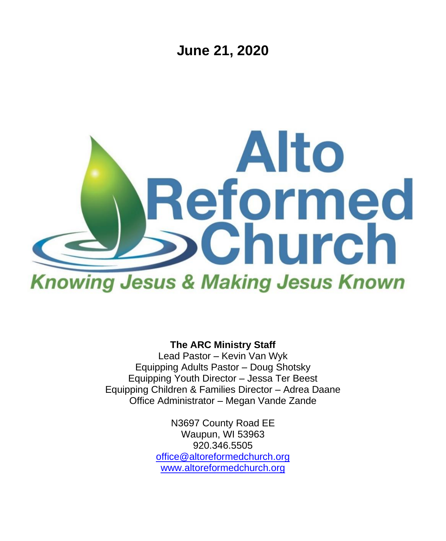**June 21, 2020**



**The ARC Ministry Staff**

Lead Pastor – Kevin Van Wyk Equipping Adults Pastor – Doug Shotsky Equipping Youth Director – Jessa Ter Beest Equipping Children & Families Director – Adrea Daane Office Administrator – Megan Vande Zande

> N3697 County Road EE Waupun, WI 53963 920.346.5505 [office@altoreformedchurch.org](mailto:office@altoreformedchurch.org) [www.altoreformedchurch.org](http://www.altoreformedchurch.org/)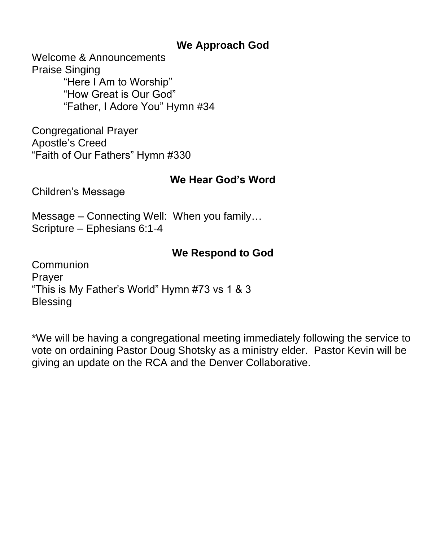### **We Approach God**

Welcome & Announcements Praise Singing "Here I Am to Worship" "How Great is Our God" "Father, I Adore You" Hymn #34

Congregational Prayer Apostle's Creed "Faith of Our Fathers" Hymn #330

### **We Hear God's Word**

Children's Message

Message – Connecting Well: When you family… Scripture – Ephesians 6:1-4

### **We Respond to God**

**Communion** Prayer "This is My Father's World" Hymn #73 vs 1 & 3 **Blessing** 

\*We will be having a congregational meeting immediately following the service to vote on ordaining Pastor Doug Shotsky as a ministry elder. Pastor Kevin will be giving an update on the RCA and the Denver Collaborative.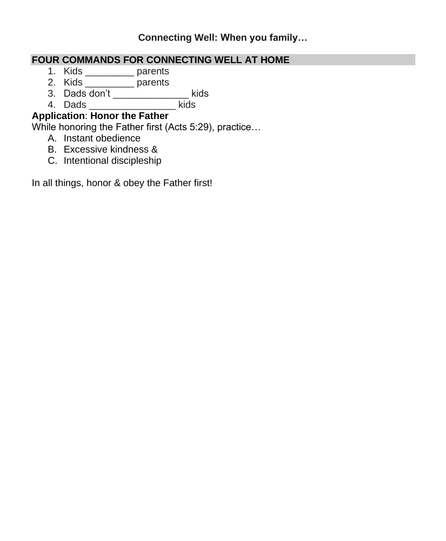#### **Connecting Well: When you family…**

### **FOUR COMMANDS FOR CONNECTING WELL AT HOME**

- 1. Kids \_\_\_\_\_\_\_\_\_ parents
- 2. Kids \_\_\_\_\_\_\_\_\_ parents
- 3. Dads don't builds
- 4. Dads \_\_\_\_\_\_\_\_\_\_\_\_\_\_\_\_ kids

### **Application**: **Honor the Father**

While honoring the Father first (Acts 5:29), practice…

- A. Instant obedience
- B. Excessive kindness &
- C. Intentional discipleship

In all things, honor & obey the Father first!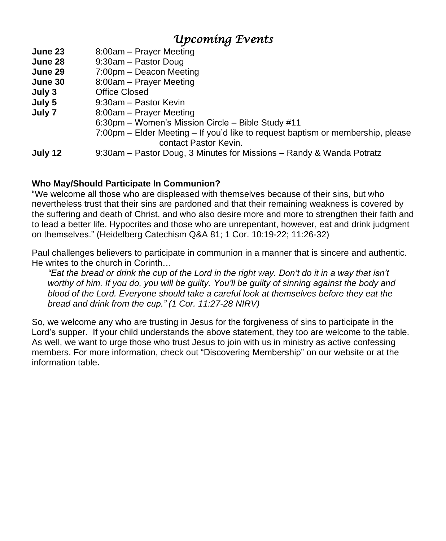## *Upcoming Events*

- **June 23** 8:00am Prayer Meeting
- **June 28** 9:30am Pastor Doug
- **June 29** 7:00pm Deacon Meeting
- **June 30** 8:00am Prayer Meeting
- **July 3** Office Closed
- **July 5** 9:30am Pastor Kevin
- **July 7** 8:00am Prayer Meeting
	- 6:30pm Women's Mission Circle Bible Study #11
	- 7:00pm Elder Meeting If you'd like to request baptism or membership, please contact Pastor Kevin.

**July 12** 9:30am – Pastor Doug, 3 Minutes for Missions – Randy & Wanda Potratz

#### **Who May/Should Participate In Communion?**

"We welcome all those who are displeased with themselves because of their sins, but who nevertheless trust that their sins are pardoned and that their remaining weakness is covered by the suffering and death of Christ, and who also desire more and more to strengthen their faith and to lead a better life. Hypocrites and those who are unrepentant, however, eat and drink judgment on themselves." (Heidelberg Catechism Q&A 81; 1 Cor. 10:19-22; 11:26-32)

Paul challenges believers to participate in communion in a manner that is sincere and authentic. He writes to the church in Corinth…

"Eat the bread or drink the cup of the Lord in the right way. Don't do it in a way that isn't worthy of him. If you do, you will be guilty. You'll be guilty of sinning against the body and *blood of the Lord. Everyone should take a careful look at themselves before they eat the bread and drink from the cup." (1 Cor. 11:27-28 NIRV)*

So, we welcome any who are trusting in Jesus for the forgiveness of sins to participate in the Lord's supper. If your child understands the above statement, they too are welcome to the table. As well, we want to urge those who trust Jesus to join with us in ministry as active confessing members. For more information, check out "Discovering Membership" on our website or at the information table.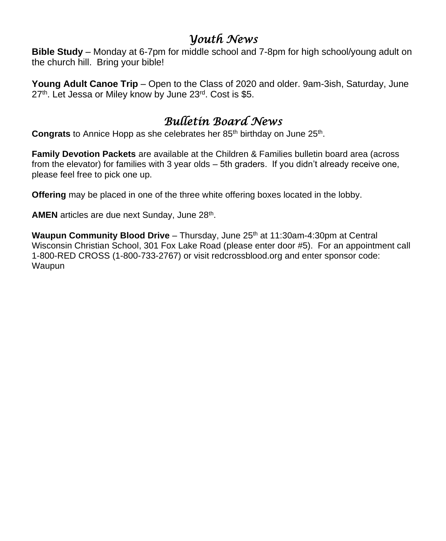### *Youth News*

**Bible Study** – Monday at 6-7pm for middle school and 7-8pm for high school/young adult on the church hill. Bring your bible!

**Young Adult Canoe Trip** – Open to the Class of 2020 and older. 9am-3ish, Saturday, June 27<sup>th</sup>. Let Jessa or Miley know by June 23<sup>rd</sup>. Cost is \$5.

# *Bulletin Board News*

Congrats to Annice Hopp as she celebrates her 85<sup>th</sup> birthday on June 25<sup>th</sup>.

**Family Devotion Packets** are available at the Children & Families bulletin board area (across from the elevator) for families with 3 year olds – 5th graders. If you didn't already receive one, please feel free to pick one up.

**Offering** may be placed in one of the three white offering boxes located in the lobby.

AMEN articles are due next Sunday, June 28<sup>th</sup>.

**Waupun Community Blood Drive** – Thursday, June 25<sup>th</sup> at 11:30am-4:30pm at Central Wisconsin Christian School, 301 Fox Lake Road (please enter door #5). For an appointment call 1-800-RED CROSS (1-800-733-2767) or visit redcrossblood.org and enter sponsor code: Waupun